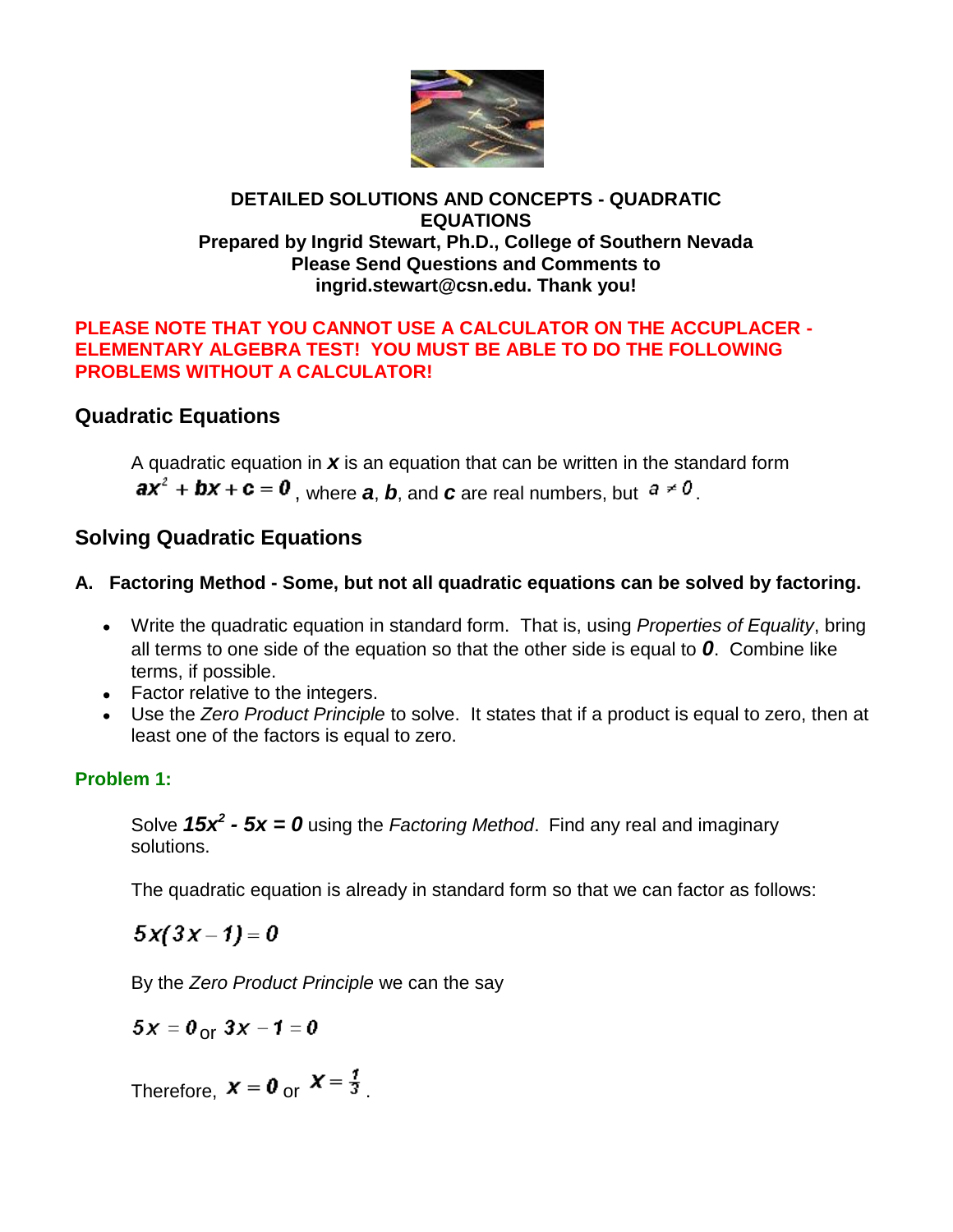

## **DETAILED SOLUTIONS AND CONCEPTS - QUADRATIC EQUATIONS Prepared by Ingrid Stewart, Ph.D., College of Southern Nevada Please Send Questions and Comments to ingrid.stewart@csn.edu. Thank you!**

## **PLEASE NOTE THAT YOU CANNOT USE A CALCULATOR ON THE ACCUPLACER - ELEMENTARY ALGEBRA TEST! YOU MUST BE ABLE TO DO THE FOLLOWING PROBLEMS WITHOUT A CALCULATOR!**

# **Quadratic Equations**

A quadratic equation in *x* is an equation that can be written in the standard form  $ax^2 + bx + c = 0$ , where a, b, and c are real numbers, but  $a \ne 0$ .

# **Solving Quadratic Equations**

## **A. Factoring Method - Some, but not all quadratic equations can be solved by factoring.**

- Write the quadratic equation in standard form. That is, using *Properties of Equality*, bring all terms to one side of the equation so that the other side is equal to *0*. Combine like terms, if possible.
- Factor relative to the integers.
- Use the *Zero Product Principle* to solve. It states that if a product is equal to zero, then at least one of the factors is equal to zero.

# **Problem 1:**

Solve *15x<sup>2</sup> - 5x = 0* using the *Factoring Method*. Find any real and imaginary solutions.

The quadratic equation is already in standard form so that we can factor as follows:

 $5x(3x-1)=0$ 

By the *Zero Product Principle* we can the say

 $5x = 0$  or  $3x - 1 = 0$ 

Therefore,  $x = 0$  or  $x = \frac{1}{3}$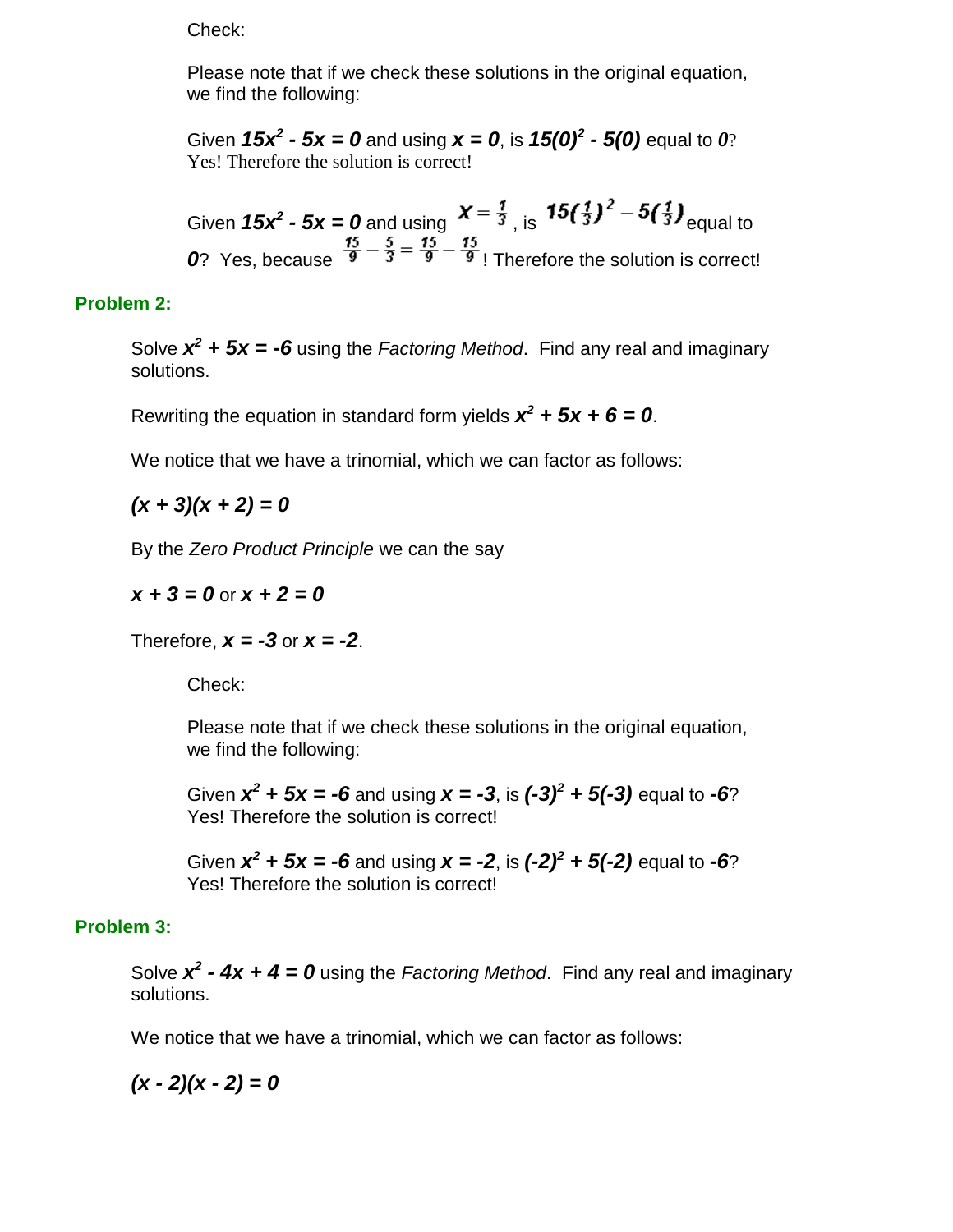Check:

Please note that if we check these solutions in the original equation, we find the following:

Given 15 $x^2$  - 5x = 0 and using  $x = 0$ , is 15(0)<sup>2</sup> - 5(0) equal to 0? Yes! Therefore the solution is correct!

Given  $15x^2 - 5x = 0$  and using  $x = \frac{1}{3}$ , is  $\frac{1}{3}$   $\frac{1}{3}$   $\frac{1}{3}$   $\frac{1}{3}$   $\frac{1}{3}$  equal to *0*? Yes, because  $\frac{15}{9} - \frac{5}{3} = \frac{15}{9} - \frac{15}{9}$ ! Therefore the solution is correct!

### **Problem 2:**

Solve  $x^2$  +  $5x = -6$  using the *Factoring Method*. Find any real and imaginary solutions.

Rewriting the equation in standard form yields  $x^2 + 5x + 6 = 0$ .

We notice that we have a trinomial, which we can factor as follows:

 $(x + 3)(x + 2) = 0$ 

By the *Zero Product Principle* we can the say

 $x + 3 = 0$  or  $x + 2 = 0$ 

Therefore,  $x = -3$  or  $x = -2$ .

Check:

Please note that if we check these solutions in the original equation, we find the following:

Given  $x^2 + 5x = -6$  and using  $x = -3$ , is  $(-3)^2 + 5(-3)$  equal to  $-6$ ? Yes! Therefore the solution is correct!

Given  $x^2 + 5x = -6$  and using  $x = -2$ , is  $(-2)^2 + 5(-2)$  equal to  $-6$ ? Yes! Therefore the solution is correct!

### **Problem 3:**

Solve  $x^2$  - 4x + 4 = 0 using the *Factoring Method*. Find any real and imaginary solutions.

We notice that we have a trinomial, which we can factor as follows:

 $(x - 2)(x - 2) = 0$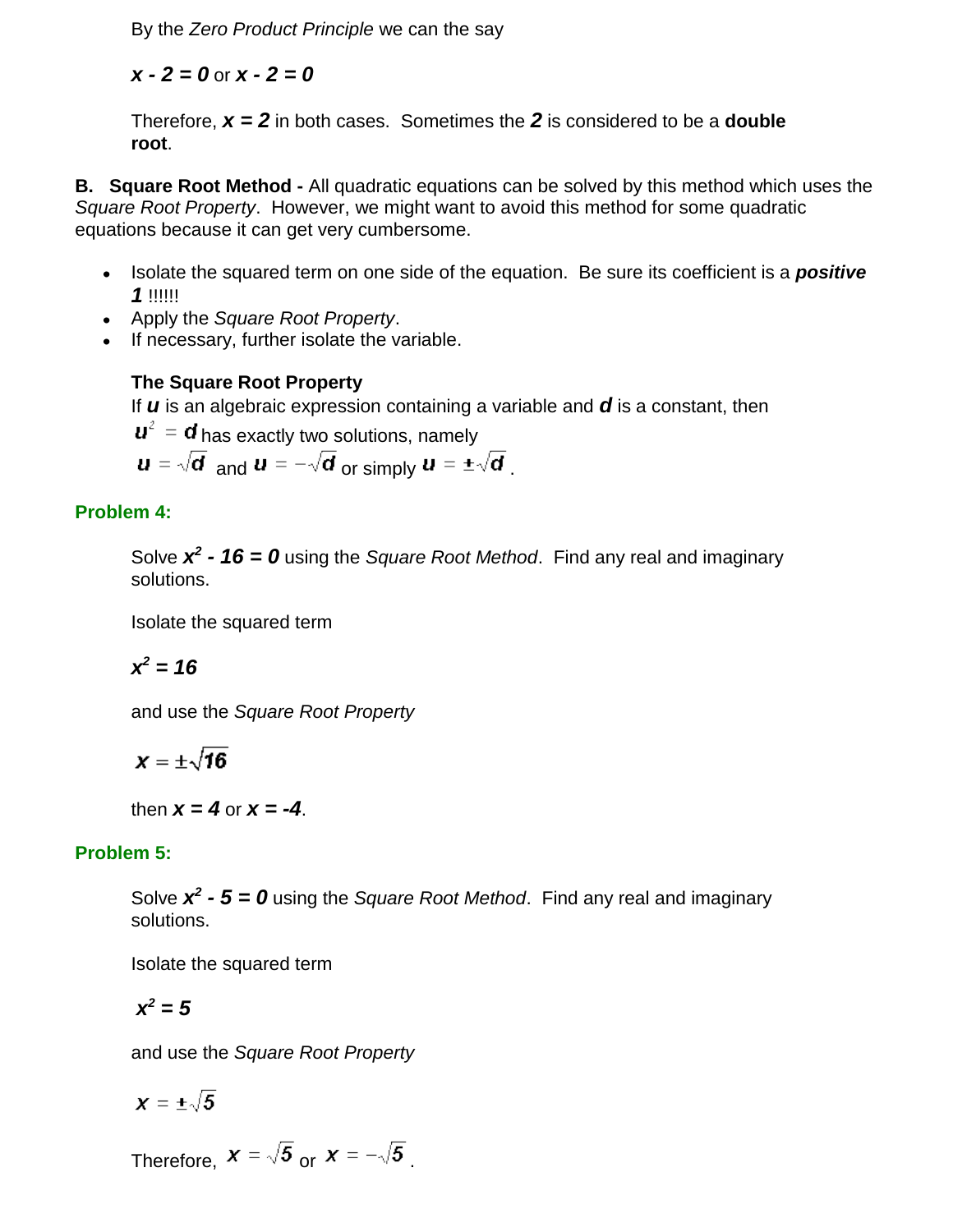By the *Zero Product Principle* we can the say

*x - 2 = 0* or *x - 2 = 0*

Therefore, *x = 2* in both cases. Sometimes the *2* is considered to be a **double root**.

**B. Square Root Method -** All quadratic equations can be solved by this method which uses the *Square Root Property*. However, we might want to avoid this method for some quadratic equations because it can get very cumbersome.

- Isolate the squared term on one side of the equation. Be sure its coefficient is a **positive** *1* !!!!!!
- Apply the *Square Root Property*.
- If necessary, further isolate the variable.

# **The Square Root Property**

If *u* is an algebraic expression containing a variable and *d* is a constant, then

 $\mathbf{u}^2 = \mathbf{d}$  has exactly two solutions, namely

 $\boldsymbol{u} = \sqrt{\boldsymbol{d}}$  and  $\boldsymbol{u} = -\sqrt{\boldsymbol{d}}$  or simply  $\boldsymbol{u} = \pm \sqrt{\boldsymbol{d}}$ .

# **Problem 4:**

Solve *x 2 - 16 = 0* using the *Square Root Method*. Find any real and imaginary solutions.

Isolate the squared term

$$
x^2=16
$$

and use the *Square Root Property*

$$
\chi=\pm\sqrt{16}
$$

then  $x = 4$  or  $x = -4$ .

# **Problem 5:**

Solve *x 2 - 5 = 0* using the *Square Root Method*. Find any real and imaginary solutions.

Isolate the squared term

$$
x^2=5
$$

and use the *Square Root Property*

$$
\pmb{\chi}=\pm\sqrt{5}
$$

Therefore,  $x = \sqrt{5}$  or  $x = -\sqrt{5}$ .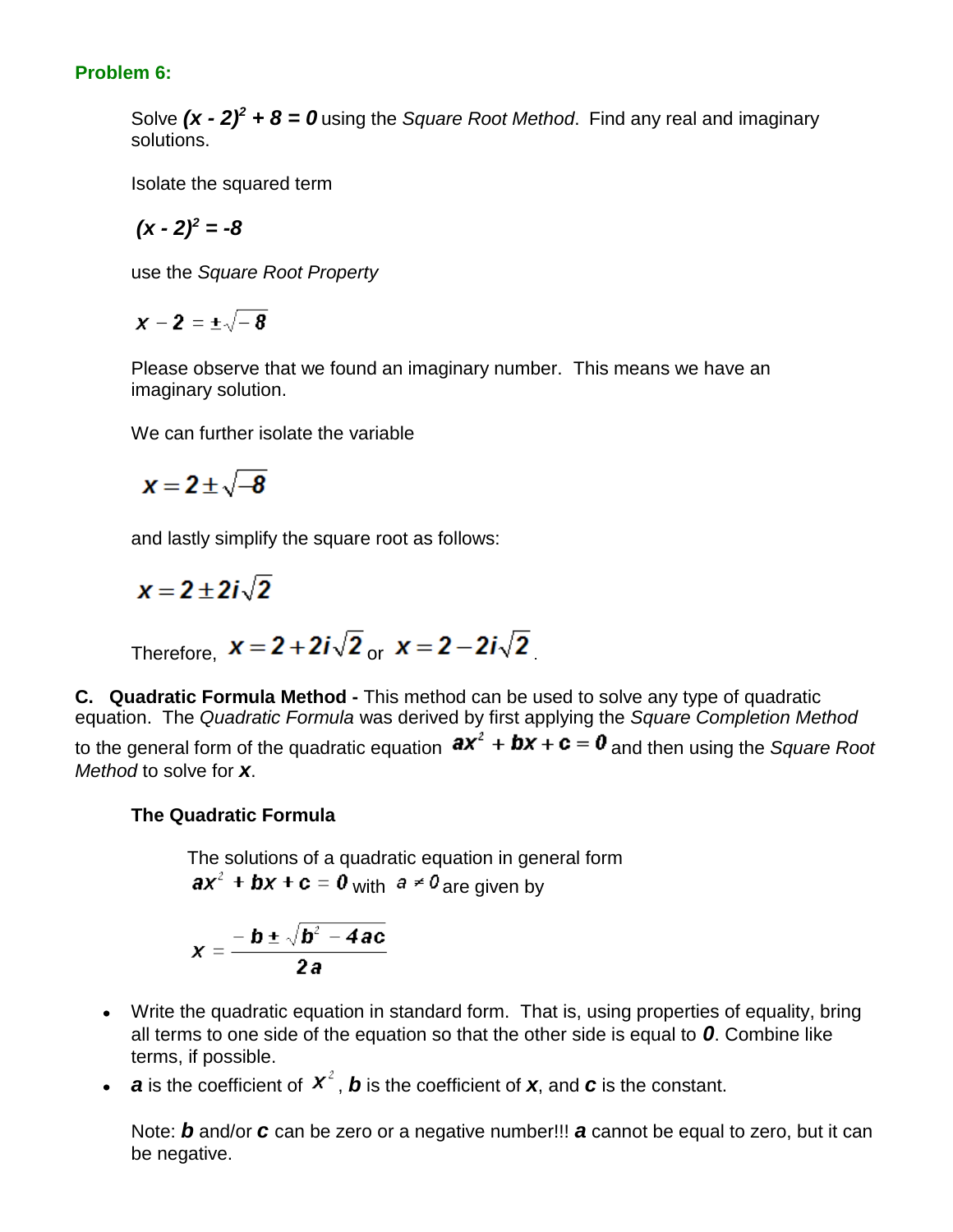## **Problem 6:**

Solve  $(x - 2)^2 + 8 = 0$  using the *Square Root Method*. Find any real and imaginary solutions.

Isolate the squared term

$$
(x-2)^2=-8
$$

use the *Square Root Property*

 $x-2=\pm \sqrt{-8}$ 

Please observe that we found an imaginary number. This means we have an imaginary solution.

We can further isolate the variable

$$
x=2\pm\sqrt{-8}
$$

and lastly simplify the square root as follows:

 $x = 2 + 2i\sqrt{2}$ 

Therefore, 
$$
x = 2 + 2i\sqrt{2}
$$
 or  $x = 2 - 2i\sqrt{2}$ 

**C. Quadratic Formula Method -** This method can be used to solve any type of quadratic equation. The *Quadratic Formula* was derived by first applying the *Square Completion Method* to the general form of the quadratic equation  $ax^2 + bx + c = 0$  and then using the *Square Root Method* to solve for *x*.

## **The Quadratic Formula**

The solutions of a quadratic equation in general form  $ax^2$  + bx + c = 0 with  $a \ne 0$  are given by

$$
x=\frac{-b\pm\sqrt{b^2-4ac}}{2a}
$$

- Write the quadratic equation in standard form. That is, using properties of equality, bring all terms to one side of the equation so that the other side is equal to *0*. Combine like terms, if possible.
- **a** is the coefficient of  $x^2$ , **b** is the coefficient of **x**, and **c** is the constant.

Note: *b* and/or *c* can be zero or a negative number!!! *a* cannot be equal to zero, but it can be negative.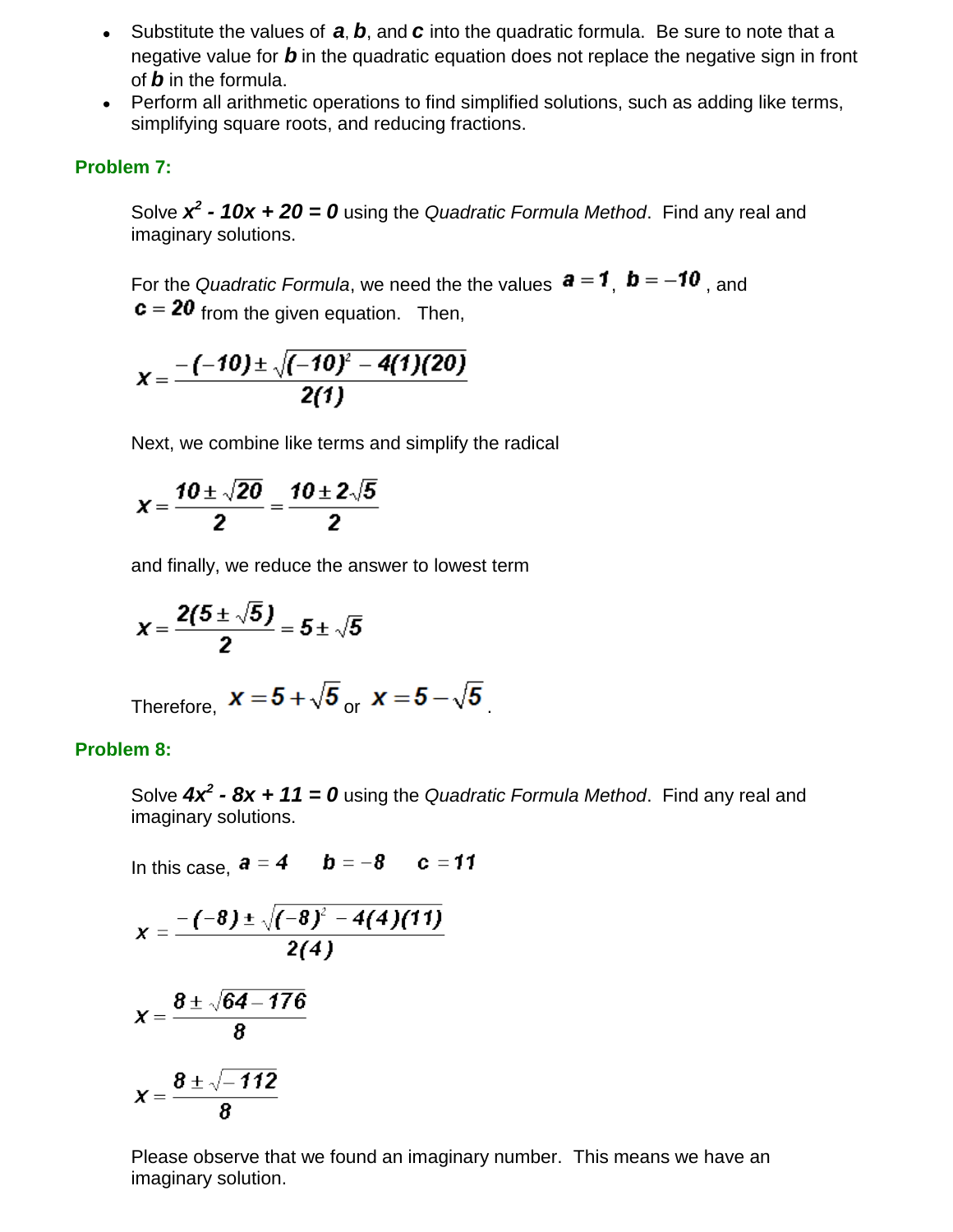- Substitute the values of *a*, *b*, and *c* into the quadratic formula. Be sure to note that a negative value for *b* in the quadratic equation does not replace the negative sign in front of *b* in the formula.
- Perform all arithmetic operations to find simplified solutions, such as adding like terms, simplifying square roots, and reducing fractions.

### **Problem 7:**

Solve  $x^2$  - 10x + 20 = 0 using the *Quadratic Formula Method*. Find any real and imaginary solutions.

For the *Quadratic Formula*, we need the the values  $a = 1$ ,  $b = -10$ , and  $\mathbf{c} = 20$  from the given equation. Then,

$$
X=\frac{-(-10)\pm\sqrt{(-10)^2-4(1)(20)}}{2(1)}
$$

Next, we combine like terms and simplify the radical

$$
X=\frac{10\pm\sqrt{20}}{2}=\frac{10\pm2\sqrt{5}}{2}
$$

and finally, we reduce the answer to lowest term

$$
x=\frac{2(5\pm\sqrt{5})}{2}=5\pm\sqrt{5}
$$

Therefore,  $x = 5 + \sqrt{5}$  or  $x = 5 - \sqrt{5}$ 

### **Problem 8:**

Solve *4x<sup>2</sup> - 8x + 11 = 0* using the *Quadratic Formula Method*. Find any real and imaginary solutions.

In this case, 
$$
\mathbf{a} = 4
$$
  $\mathbf{b} = -8$   $\mathbf{c} = 11$   
\n
$$
x = \frac{-(-8) \pm \sqrt{(-8)^2 - 4(4)(11)}}{2(4)}
$$
\n
$$
x = \frac{8 \pm \sqrt{64 - 176}}{8}
$$
\n
$$
x = \frac{8 \pm \sqrt{-112}}{8}
$$

Please observe that we found an imaginary number. This means we have an imaginary solution.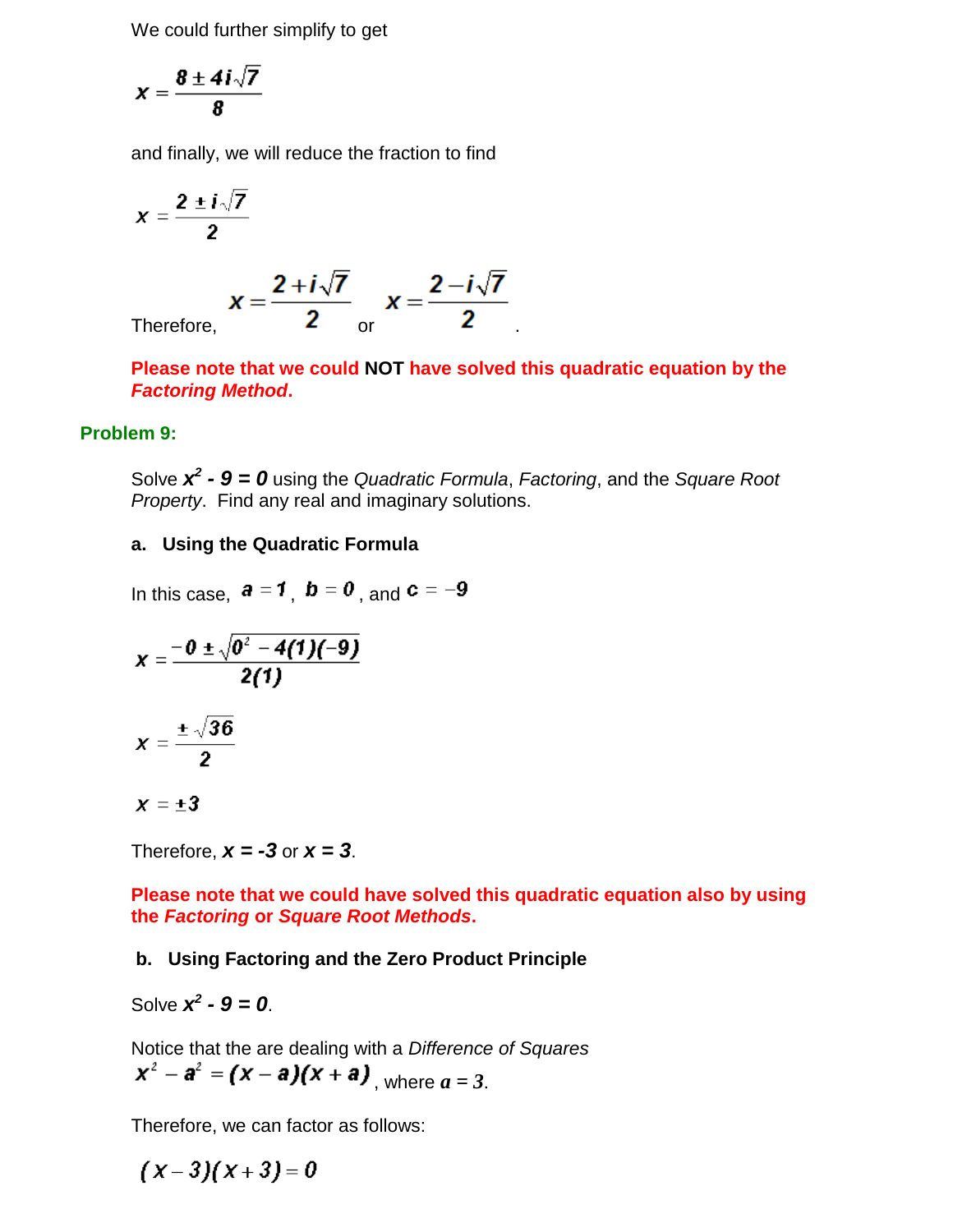We could further simplify to get

$$
X=\frac{8\pm 4i\sqrt{7}}{8}
$$

and finally, we will reduce the fraction to find

$$
x = \frac{2 \pm i\sqrt{7}}{2}
$$
  

$$
x = \frac{2 + i\sqrt{7}}{2}
$$
 or 
$$
x = \frac{2 - i\sqrt{7}}{2}
$$

**Please note that we could NOT have solved this quadratic equation by the**  *Factoring Method***.** 

#### **Problem 9:**

Solve *x 2 - 9 = 0* using the *Quadratic Formula*, *Factoring*, and the *Square Root Property*. Find any real and imaginary solutions.

### **a. Using the Quadratic Formula**

In this case,  $\mathbf{a} = 1$ ,  $\mathbf{b} = 0$ , and  $\mathbf{c} = -9$ 

$$
x = \frac{-0 \pm \sqrt{0^2 - 4(1)(-9)}}{2(1)}
$$
  

$$
x = \frac{\pm \sqrt{36}}{2}
$$

$$
x=\pm 3
$$

Therefore,  $x = -3$  or  $x = 3$ .

**Please note that we could have solved this quadratic equation also by using the** *Factoring* **or** *Square Root Methods***.**

### **b. Using Factoring and the Zero Product Principle**

Solve  $x^2 - 9 = 0$ .

Notice that the are dealing with a *Difference of Squares*  $x^2 - a^2 = (x - a)(x + a)$  where  $a = 3$ .

Therefore, we can factor as follows:

 $(x-3)(x+3)=0$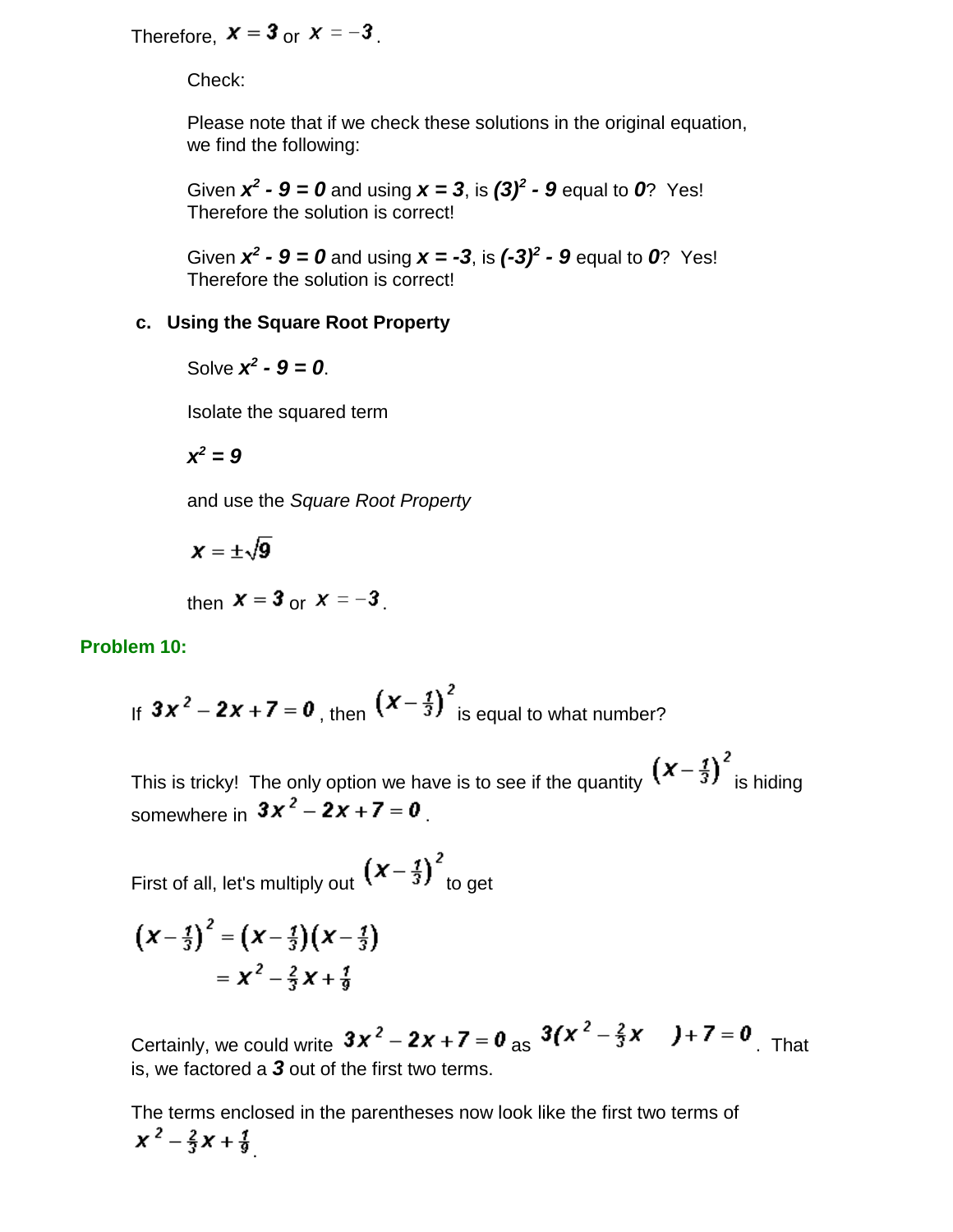Therefore,  $x = 3$  or  $x = -3$ .

Check:

Please note that if we check these solutions in the original equation, we find the following:

Given  $x^2 - 9 = 0$  and using  $x = 3$ , is  $(3)^2 - 9$  equal to 0? Yes! Therefore the solution is correct!

Given  $x^2 - 9 = 0$  and using  $x = -3$ , is  $(-3)^2 - 9$  equal to 0? Yes! Therefore the solution is correct!

### **c. Using the Square Root Property**

Solve  $x^2 - 9 = 0$ .

Isolate the squared term

$$
x^2=9
$$

and use the *Square Root Property*

 $x = \pm \sqrt{9}$ 

then  $X = 3$  or  $X = -3$ 

### **Problem 10:**

If 
$$
3x^2 - 2x + 7 = 0
$$
, then  $\left(x - \frac{1}{3}\right)^2$  is equal to what number?

This is tricky! The only option we have is to see if the quantity  $\left(x-\frac{1}{3}\right)^2$  is hiding somewhere in  $3x^2 - 2x + 7 = 0$ 

First of all, let's multiply out  $\left(x-\frac{1}{3}\right)^2$  to get

$$
\left(X-\frac{1}{3}\right)^2 = \left(X-\frac{1}{3}\right)\left(X-\frac{1}{3}\right)
$$

$$
= X^2 - \frac{2}{3}X + \frac{1}{9}
$$

Certainly, we could write  $3x^2 - 2x + 7 = 0$  as  $3(x^2 - \frac{2}{3}x) + 7 = 0$ . That is, we factored a *3* out of the first two terms.

The terms enclosed in the parentheses now look like the first two terms of  $x^2 - \frac{2}{3}x + \frac{1}{9}$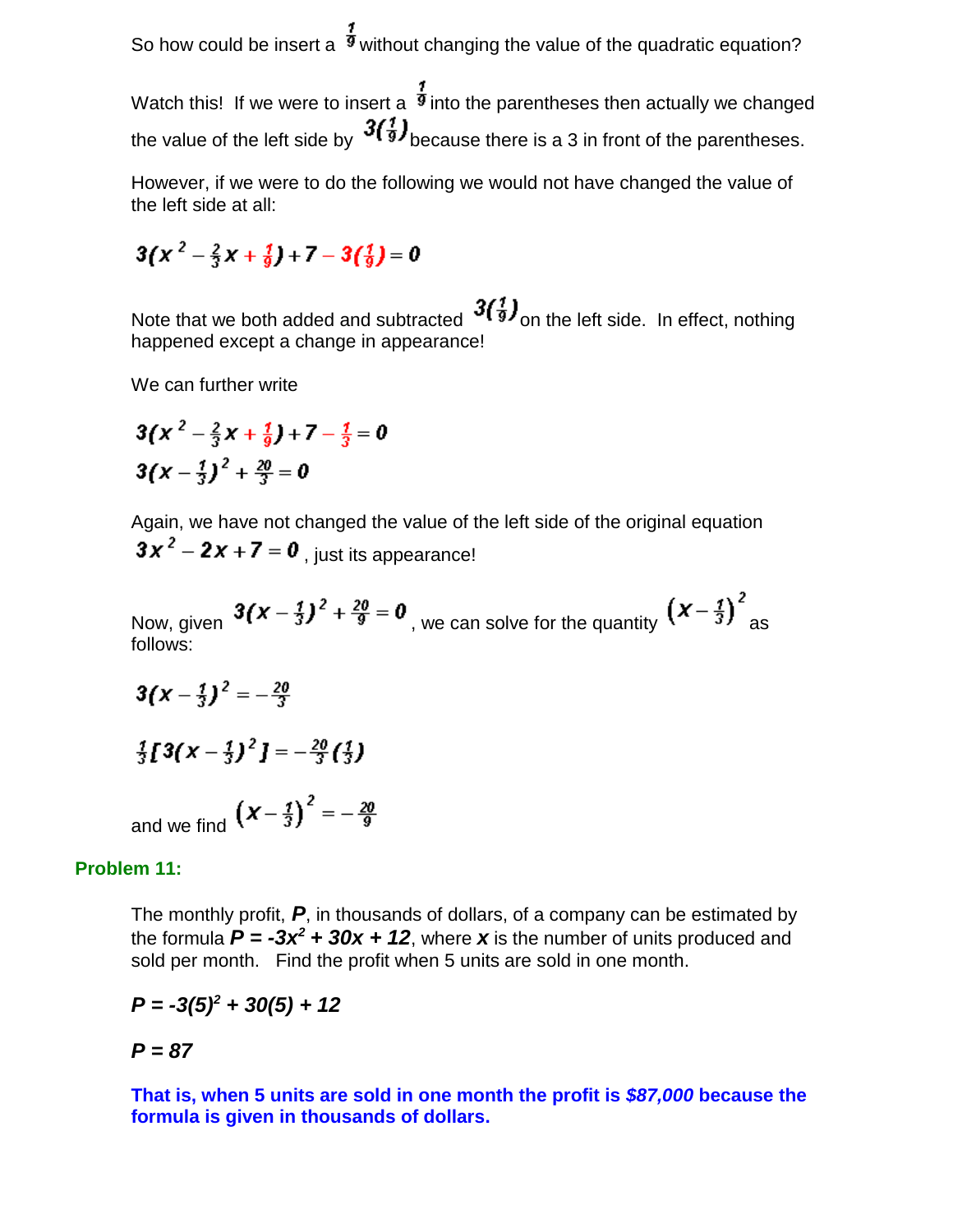So how could be insert a  $\frac{7}{9}$  without changing the value of the quadratic equation?

Watch this! If we were to insert a  $\frac{3}{9}$  into the parentheses then actually we changed the value of the left side by  $3\binom{1}{9}$  because there is a 3 in front of the parentheses.

However, if we were to do the following we would not have changed the value of the left side at all:

$$
3\left(x^{2}-\frac{2}{3}x+\frac{1}{9}\right)+7-3\left(\frac{1}{9}\right)=0
$$

Note that we both added and subtracted  $3\binom{3}{3}$  on the left side. In effect, nothing happened except a change in appearance!

We can further write

$$
3\left(x^{2}-\frac{2}{3}x+\frac{1}{9}\right)+7-\frac{1}{3}=0
$$
  
3\left(x-\frac{1}{3}\right)^{2}+\frac{20}{3}=0

Again, we have not changed the value of the left side of the original equation  $3x^2 - 2x + 7 = 0$ , just its appearance!

Now, given  $3(x-\frac{1}{3})^2+\frac{20}{9}=0$ , we can solve for the quantity  $(x-\frac{1}{3})^2$  as follows:

$$
3\left(x - \frac{1}{3}\right)^2 = -\frac{20}{3}
$$
  

$$
\frac{1}{3}\left[3\left(x - \frac{1}{3}\right)^2\right] = -\frac{20}{3}\left(\frac{1}{3}\right)
$$
  
and we find  $\left(x - \frac{1}{3}\right)^2 = -\frac{20}{9}$ 

#### **Problem 11:**

The monthly profit, *P*, in thousands of dollars, of a company can be estimated by the formula  $P = -3x^2 + 30x + 12$ , where x is the number of units produced and sold per month. Find the profit when 5 units are sold in one month.

$$
P = -3(5)^2 + 30(5) + 12
$$

## *P = 87*

**That is, when 5 units are sold in one month the profit is** *\$87,000* **because the formula is given in thousands of dollars.**